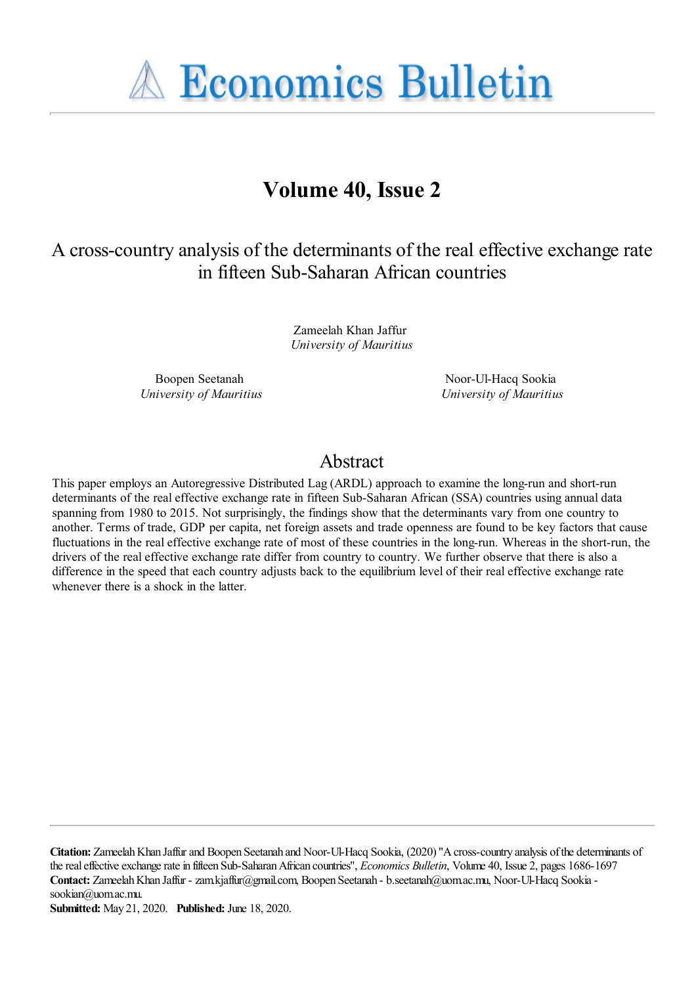**A Economics Bulletin** 

# **Volume 40, Issue 2**

A cross-country analysis of the determinants of the real effective exchange rate in fifteen Sub-Saharan African countries

> Zameelah Khan Jaffur *University of Mauritius*

Boopen Seetanah *University of Mauritius*

Noor-Ul-Hacq Sookia *University of Mauritius*

## Abstract

This paper employs an Autoregressive Distributed Lag (ARDL) approach to examine the long-run and short-run determinants of the real effective exchange rate in fifteen Sub-Saharan African (SSA) countries using annual data spanning from 1980 to 2015. Not surprisingly, the findings show that the determinants vary from one country to another. Terms of trade, GDP per capita, net foreign assets and trade openness are found to be key factors that cause fluctuations in the real effective exchange rate of most of these countries in the long-run. Whereas in the short-run, the drivers of the real effective exchange rate differ from country to country. We further observe that there is also a difference in the speed that each country adjusts back to the equilibrium level of their real effective exchange rate whenever there is a shock in the latter.

**Citation:** Zameelah Khan Jaffur and Boopen Seetanah and Noor-Ul-Hacq Sookia, (2020) ''A cross-country analysis of the determinants of the real effective exchange rate in fifteen Sub-Saharan African countries'', *Economics Bulletin*, Volume 40, Issue 2, pages 1686-1697 Contact: Zameelah Khan Jaffur - zam.kjaffur@gmail.com, Boopen Seetanah - b.seetanah@uom.ac.mu, Noor-Ul-Hacq Sookia sookian@uom.ac.mu.

**Submitted:** May 21, 2020. **Published:** June 18, 2020.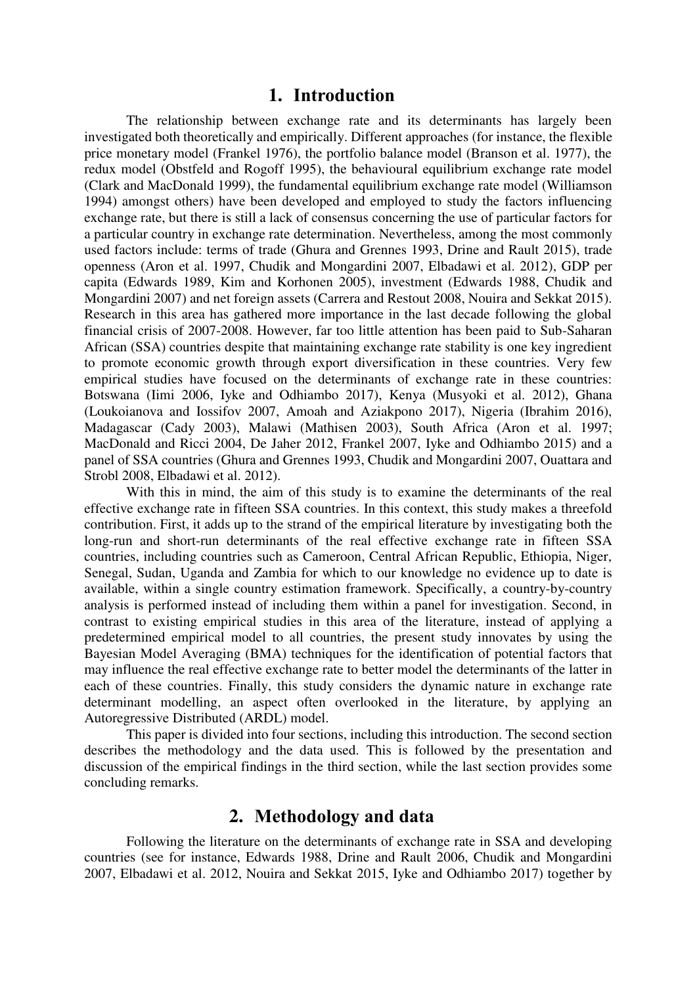#### **1. Introduction**

The relationship between exchange rate and its determinants has largely been investigated both theoretically and empirically. Different approaches (for instance, the flexible price monetary model (Frankel 1976), the portfolio balance model (Branson et al. 1977), the redux model (Obstfeld and Rogoff 1995), the behavioural equilibrium exchange rate model (Clark and MacDonald 1999), the fundamental equilibrium exchange rate model (Williamson 1994) amongst others) have been developed and employed to study the factors influencing exchange rate, but there is still a lack of consensus concerning the use of particular factors for a particular country in exchange rate determination. Nevertheless, among the most commonly used factors include: terms of trade (Ghura and Grennes 1993, Drine and Rault 2015), trade openness (Aron et al. 1997, Chudik and Mongardini 2007, Elbadawi et al. 2012), GDP per capita (Edwards 1989, Kim and Korhonen 2005), investment (Edwards 1988, Chudik and Mongardini 2007) and net foreign assets (Carrera and Restout 2008, Nouira and Sekkat 2015). Research in this area has gathered more importance in the last decade following the global financial crisis of 2007-2008. However, far too little attention has been paid to Sub-Saharan African (SSA) countries despite that maintaining exchange rate stability is one key ingredient to promote economic growth through export diversification in these countries. Very few empirical studies have focused on the determinants of exchange rate in these countries: Botswana (Iimi 2006, Iyke and Odhiambo 2017), Kenya (Musyoki et al. 2012), Ghana (Loukoianova and Iossifov 2007, Amoah and Aziakpono 2017), Nigeria (Ibrahim 2016), Madagascar (Cady 2003), Malawi (Mathisen 2003), South Africa (Aron et al. 1997; MacDonald and Ricci 2004, De Jaher 2012, Frankel 2007, Iyke and Odhiambo 2015) and a panel of SSA countries (Ghura and Grennes 1993, Chudik and Mongardini 2007, Ouattara and Strobl 2008, Elbadawi et al. 2012).

With this in mind, the aim of this study is to examine the determinants of the real effective exchange rate in fifteen SSA countries. In this context, this study makes a threefold contribution. First, it adds up to the strand of the empirical literature by investigating both the long-run and short-run determinants of the real effective exchange rate in fifteen SSA countries, including countries such as Cameroon, Central African Republic, Ethiopia, Niger, Senegal, Sudan, Uganda and Zambia for which to our knowledge no evidence up to date is available, within a single country estimation framework. Specifically, a country-by-country analysis is performed instead of including them within a panel for investigation. Second, in contrast to existing empirical studies in this area of the literature, instead of applying a predetermined empirical model to all countries, the present study innovates by using the Bayesian Model Averaging (BMA) techniques for the identification of potential factors that may influence the real effective exchange rate to better model the determinants of the latter in each of these countries. Finally, this study considers the dynamic nature in exchange rate determinant modelling, an aspect often overlooked in the literature, by applying an Autoregressive Distributed (ARDL) model.

This paper is divided into four sections, including this introduction. The second section describes the methodology and the data used. This is followed by the presentation and discussion of the empirical findings in the third section, while the last section provides some concluding remarks.

## **2. Methodology and data**

Following the literature on the determinants of exchange rate in SSA and developing countries (see for instance, Edwards 1988, Drine and Rault 2006, Chudik and Mongardini 2007, Elbadawi et al. 2012, Nouira and Sekkat 2015, Iyke and Odhiambo 2017) together by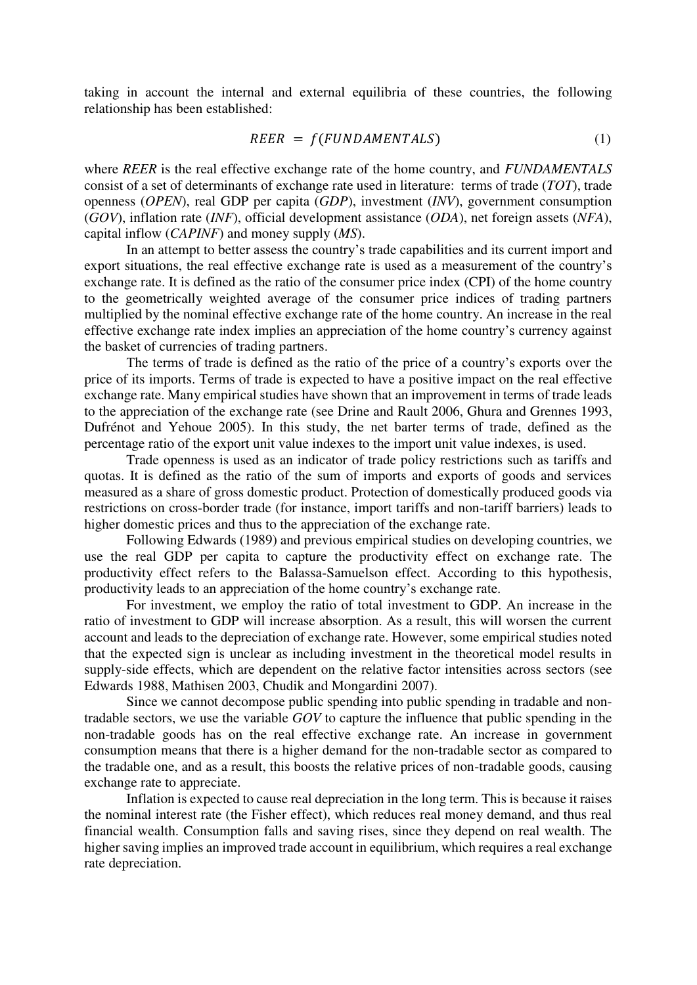taking in account the internal and external equilibria of these countries, the following relationship has been established:

$$
RBER = f(FUNDAMENTALS) \tag{1}
$$

where *REER* is the real effective exchange rate of the home country, and *FUNDAMENTALS* consist of a set of determinants of exchange rate used in literature: terms of trade (*TOT*), trade openness (*OPEN*), real GDP per capita (*GDP*), investment (*INV*), government consumption (*GOV*), inflation rate (*INF*), official development assistance (*ODA*), net foreign assets (*NFA*), capital inflow (*CAPINF*) and money supply (*MS*).

In an attempt to better assess the country's trade capabilities and its current import and export situations, the real effective exchange rate is used as a measurement of the country's exchange rate. It is defined as the ratio of the consumer price index (CPI) of the home country to the geometrically weighted average of the consumer price indices of trading partners multiplied by the nominal effective exchange rate of the home country. An increase in the real effective exchange rate index implies an appreciation of the home country's currency against the basket of currencies of trading partners.

The terms of trade is defined as the ratio of the price of a country's exports over the price of its imports. Terms of trade is expected to have a positive impact on the real effective exchange rate. Many empirical studies have shown that an improvement in terms of trade leads to the appreciation of the exchange rate (see Drine and Rault 2006, Ghura and Grennes 1993, Dufrénot and Yehoue 2005). In this study, the net barter terms of trade, defined as the percentage ratio of the export unit value indexes to the import unit value indexes, is used.

Trade openness is used as an indicator of trade policy restrictions such as tariffs and quotas. It is defined as the ratio of the sum of imports and exports of goods and services measured as a share of gross domestic product. Protection of domestically produced goods via restrictions on cross-border trade (for instance, import tariffs and non-tariff barriers) leads to higher domestic prices and thus to the appreciation of the exchange rate.

Following Edwards (1989) and previous empirical studies on developing countries, we use the real GDP per capita to capture the productivity effect on exchange rate. The productivity effect refers to the Balassa-Samuelson effect. According to this hypothesis, productivity leads to an appreciation of the home country's exchange rate.

For investment, we employ the ratio of total investment to GDP. An increase in the ratio of investment to GDP will increase absorption. As a result, this will worsen the current account and leads to the depreciation of exchange rate. However, some empirical studies noted that the expected sign is unclear as including investment in the theoretical model results in supply-side effects, which are dependent on the relative factor intensities across sectors (see Edwards 1988, Mathisen 2003, Chudik and Mongardini 2007).

Since we cannot decompose public spending into public spending in tradable and nontradable sectors, we use the variable *GOV* to capture the influence that public spending in the non-tradable goods has on the real effective exchange rate. An increase in government consumption means that there is a higher demand for the non-tradable sector as compared to the tradable one, and as a result, this boosts the relative prices of non-tradable goods, causing exchange rate to appreciate.

Inflation is expected to cause real depreciation in the long term. This is because it raises the nominal interest rate (the Fisher effect), which reduces real money demand, and thus real financial wealth. Consumption falls and saving rises, since they depend on real wealth. The higher saving implies an improved trade account in equilibrium, which requires a real exchange rate depreciation.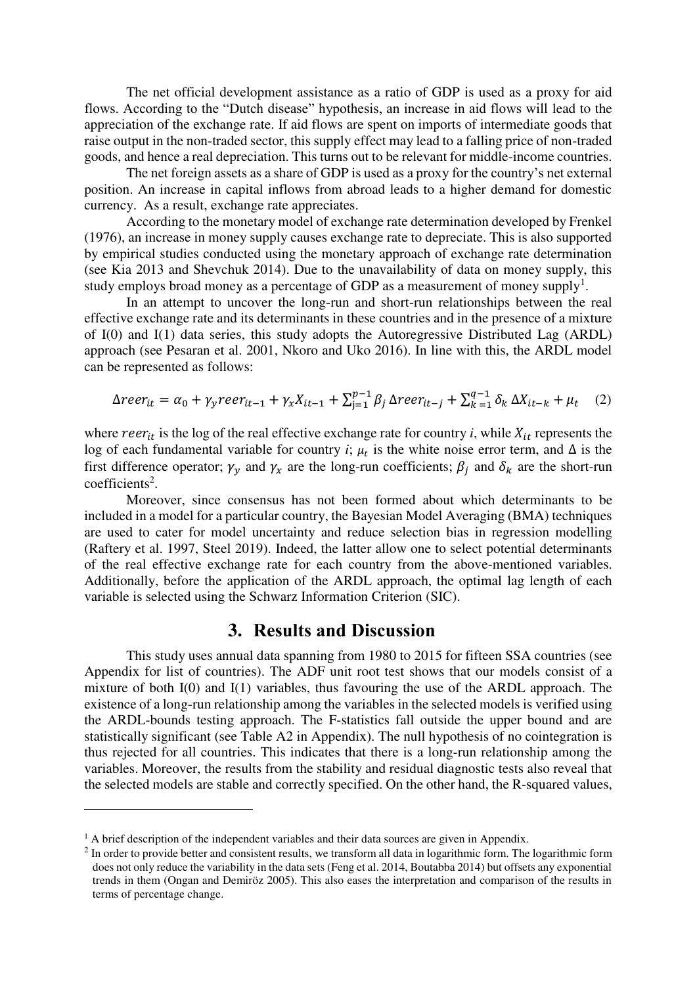The net official development assistance as a ratio of GDP is used as a proxy for aid flows. According to the "Dutch disease" hypothesis, an increase in aid flows will lead to the appreciation of the exchange rate. If aid flows are spent on imports of intermediate goods that raise output in the non-traded sector, this supply effect may lead to a falling price of non-traded goods, and hence a real depreciation. This turns out to be relevant for middle-income countries.

The net foreign assets as a share of GDP is used as a proxy for the country's net external position. An increase in capital inflows from abroad leads to a higher demand for domestic currency. As a result, exchange rate appreciates.

According to the monetary model of exchange rate determination developed by Frenkel (1976), an increase in money supply causes exchange rate to depreciate. This is also supported by empirical studies conducted using the monetary approach of exchange rate determination (see Kia 2013 and Shevchuk 2014). Due to the unavailability of data on money supply, this study employs broad money as a percentage of GDP as a measurement of money supply<sup>1</sup>.

In an attempt to uncover the long-run and short-run relationships between the real effective exchange rate and its determinants in these countries and in the presence of a mixture of I(0) and I(1) data series, this study adopts the Autoregressive Distributed Lag (ARDL) approach (see Pesaran et al. 2001, Nkoro and Uko 2016). In line with this, the ARDL model can be represented as follows:

$$
\Delta reer_{it} = \alpha_0 + \gamma_y reer_{it-1} + \gamma_x X_{it-1} + \sum_{j=1}^{p-1} \beta_j \Delta reer_{it-j} + \sum_{k=1}^{q-1} \delta_k \Delta X_{it-k} + \mu_t \quad (2)
$$

where  $reer_{it}$  is the log of the real effective exchange rate for country *i*, while  $X_{it}$  represents the log of each fundamental variable for country *i*;  $\mu_t$  is the white noise error term, and  $\Delta$  is the first difference operator;  $\gamma_y$  and  $\gamma_x$  are the long-run coefficients;  $\beta_j$  and  $\delta_k$  are the short-run coefficients<sup>2</sup>.

Moreover, since consensus has not been formed about which determinants to be included in a model for a particular country, the Bayesian Model Averaging (BMA) techniques are used to cater for model uncertainty and reduce selection bias in regression modelling (Raftery et al. 1997, Steel 2019). Indeed, the latter allow one to select potential determinants of the real effective exchange rate for each country from the above-mentioned variables. Additionally, before the application of the ARDL approach, the optimal lag length of each variable is selected using the Schwarz Information Criterion (SIC).

#### **3. Results and Discussion**

This study uses annual data spanning from 1980 to 2015 for fifteen SSA countries (see Appendix for list of countries). The ADF unit root test shows that our models consist of a mixture of both I(0) and I(1) variables, thus favouring the use of the ARDL approach. The existence of a long-run relationship among the variables in the selected models is verified using the ARDL-bounds testing approach. The F-statistics fall outside the upper bound and are statistically significant (see Table A2 in Appendix). The null hypothesis of no cointegration is thus rejected for all countries. This indicates that there is a long-run relationship among the variables. Moreover, the results from the stability and residual diagnostic tests also reveal that the selected models are stable and correctly specified. On the other hand, the R-squared values,

<u>.</u>

<sup>&</sup>lt;sup>1</sup> A brief description of the independent variables and their data sources are given in Appendix.

 $2$  In order to provide better and consistent results, we transform all data in logarithmic form. The logarithmic form does not only reduce the variability in the data sets (Feng et al. 2014, Boutabba 2014) but offsets any exponential trends in them (Ongan and Demiröz 2005). This also eases the interpretation and comparison of the results in terms of percentage change.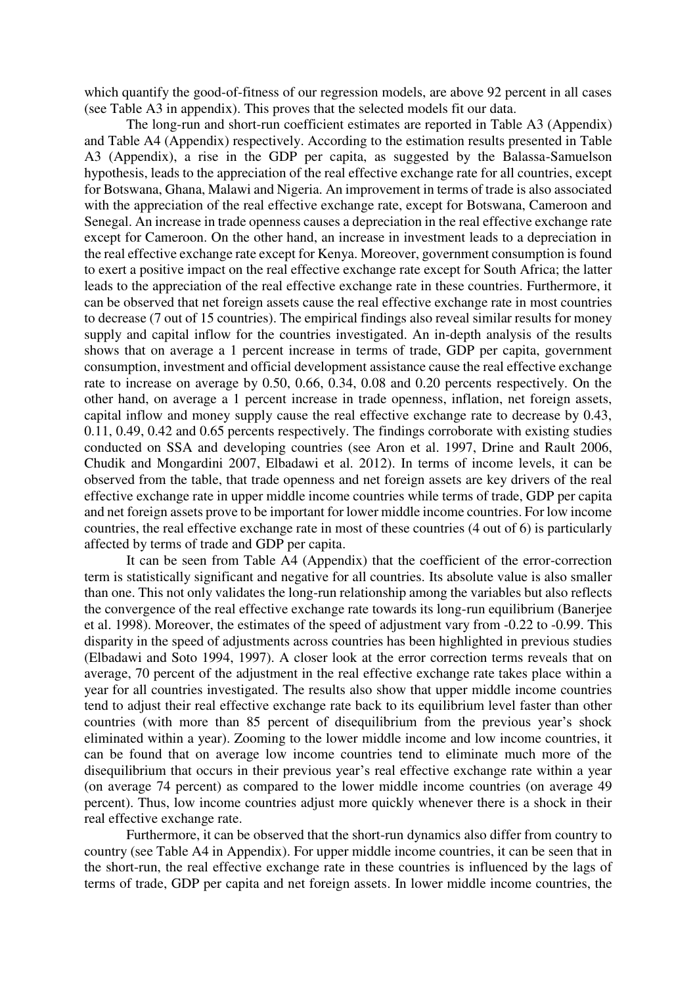which quantify the good-of-fitness of our regression models, are above 92 percent in all cases (see Table A3 in appendix). This proves that the selected models fit our data.

The long-run and short-run coefficient estimates are reported in Table A3 (Appendix) and Table A4 (Appendix) respectively. According to the estimation results presented in Table A3 (Appendix), a rise in the GDP per capita, as suggested by the Balassa-Samuelson hypothesis, leads to the appreciation of the real effective exchange rate for all countries, except for Botswana, Ghana, Malawi and Nigeria. An improvement in terms of trade is also associated with the appreciation of the real effective exchange rate, except for Botswana, Cameroon and Senegal. An increase in trade openness causes a depreciation in the real effective exchange rate except for Cameroon. On the other hand, an increase in investment leads to a depreciation in the real effective exchange rate except for Kenya. Moreover, government consumption is found to exert a positive impact on the real effective exchange rate except for South Africa; the latter leads to the appreciation of the real effective exchange rate in these countries. Furthermore, it can be observed that net foreign assets cause the real effective exchange rate in most countries to decrease (7 out of 15 countries). The empirical findings also reveal similar results for money supply and capital inflow for the countries investigated. An in-depth analysis of the results shows that on average a 1 percent increase in terms of trade, GDP per capita, government consumption, investment and official development assistance cause the real effective exchange rate to increase on average by 0.50, 0.66, 0.34, 0.08 and 0.20 percents respectively. On the other hand, on average a 1 percent increase in trade openness, inflation, net foreign assets, capital inflow and money supply cause the real effective exchange rate to decrease by 0.43, 0.11, 0.49, 0.42 and 0.65 percents respectively. The findings corroborate with existing studies conducted on SSA and developing countries (see Aron et al. 1997, Drine and Rault 2006, Chudik and Mongardini 2007, Elbadawi et al. 2012). In terms of income levels, it can be observed from the table, that trade openness and net foreign assets are key drivers of the real effective exchange rate in upper middle income countries while terms of trade, GDP per capita and net foreign assets prove to be important for lower middle income countries. For low income countries, the real effective exchange rate in most of these countries (4 out of 6) is particularly affected by terms of trade and GDP per capita.

It can be seen from Table A4 (Appendix) that the coefficient of the error-correction term is statistically significant and negative for all countries. Its absolute value is also smaller than one. This not only validates the long-run relationship among the variables but also reflects the convergence of the real effective exchange rate towards its long-run equilibrium (Banerjee et al. 1998). Moreover, the estimates of the speed of adjustment vary from -0.22 to -0.99. This disparity in the speed of adjustments across countries has been highlighted in previous studies (Elbadawi and Soto 1994, 1997). A closer look at the error correction terms reveals that on average, 70 percent of the adjustment in the real effective exchange rate takes place within a year for all countries investigated. The results also show that upper middle income countries tend to adjust their real effective exchange rate back to its equilibrium level faster than other countries (with more than 85 percent of disequilibrium from the previous year's shock eliminated within a year). Zooming to the lower middle income and low income countries, it can be found that on average low income countries tend to eliminate much more of the disequilibrium that occurs in their previous year's real effective exchange rate within a year (on average 74 percent) as compared to the lower middle income countries (on average 49 percent). Thus, low income countries adjust more quickly whenever there is a shock in their real effective exchange rate.

Furthermore, it can be observed that the short-run dynamics also differ from country to country (see Table A4 in Appendix). For upper middle income countries, it can be seen that in the short-run, the real effective exchange rate in these countries is influenced by the lags of terms of trade, GDP per capita and net foreign assets. In lower middle income countries, the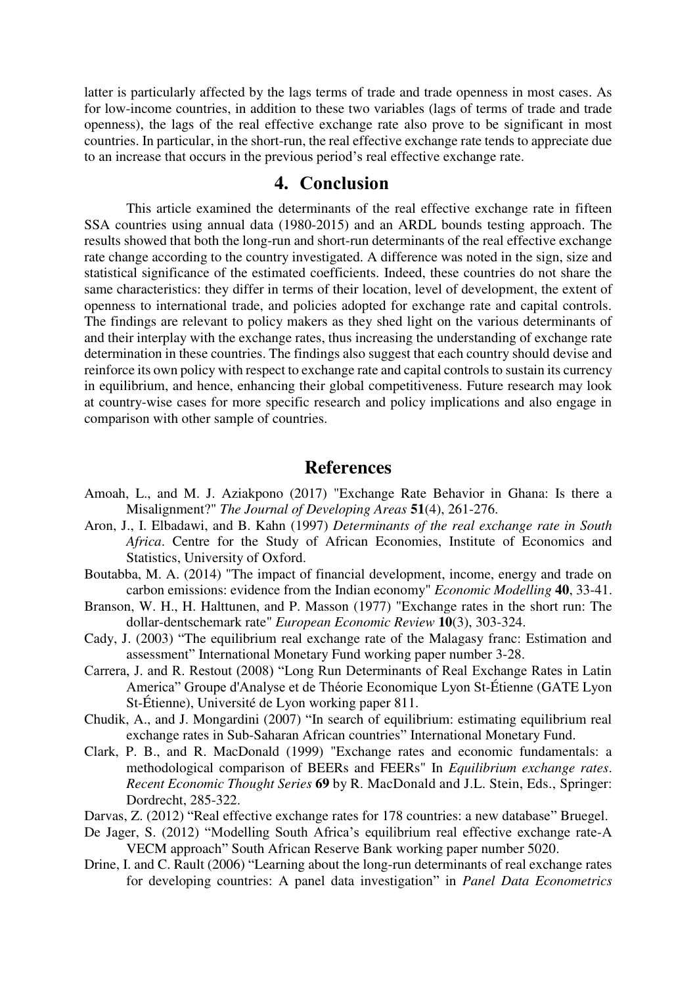latter is particularly affected by the lags terms of trade and trade openness in most cases. As for low-income countries, in addition to these two variables (lags of terms of trade and trade openness), the lags of the real effective exchange rate also prove to be significant in most countries. In particular, in the short-run, the real effective exchange rate tends to appreciate due to an increase that occurs in the previous period's real effective exchange rate.

### **4. Conclusion**

This article examined the determinants of the real effective exchange rate in fifteen SSA countries using annual data (1980-2015) and an ARDL bounds testing approach. The results showed that both the long-run and short-run determinants of the real effective exchange rate change according to the country investigated. A difference was noted in the sign, size and statistical significance of the estimated coefficients. Indeed, these countries do not share the same characteristics: they differ in terms of their location, level of development, the extent of openness to international trade, and policies adopted for exchange rate and capital controls. The findings are relevant to policy makers as they shed light on the various determinants of and their interplay with the exchange rates, thus increasing the understanding of exchange rate determination in these countries. The findings also suggest that each country should devise and reinforce its own policy with respect to exchange rate and capital controls to sustain its currency in equilibrium, and hence, enhancing their global competitiveness. Future research may look at country-wise cases for more specific research and policy implications and also engage in comparison with other sample of countries.

### **References**

- Amoah, L., and M. J. Aziakpono (2017) "Exchange Rate Behavior in Ghana: Is there a Misalignment?" *The Journal of Developing Areas* **51**(4), 261-276.
- Aron, J., I. Elbadawi, and B. Kahn (1997) *Determinants of the real exchange rate in South Africa*. Centre for the Study of African Economies, Institute of Economics and Statistics, University of Oxford.
- Boutabba, M. A. (2014) "The impact of financial development, income, energy and trade on carbon emissions: evidence from the Indian economy" *Economic Modelling* **40**, 33-41.
- Branson, W. H., H. Halttunen, and P. Masson (1977) "Exchange rates in the short run: The dollar-dentschemark rate" *European Economic Review* **10**(3), 303-324.
- Cady, J. (2003) "The equilibrium real exchange rate of the Malagasy franc: Estimation and assessment" International Monetary Fund working paper number 3-28.
- Carrera, J. and R. Restout (2008) "Long Run Determinants of Real Exchange Rates in Latin America" Groupe d'Analyse et de Théorie Economique Lyon St-Étienne (GATE Lyon St-Étienne), Université de Lyon working paper 811.
- Chudik, A., and J. Mongardini (2007) "In search of equilibrium: estimating equilibrium real exchange rates in Sub-Saharan African countries" International Monetary Fund.
- Clark, P. B., and R. MacDonald (1999) "Exchange rates and economic fundamentals: a methodological comparison of BEERs and FEERs" In *Equilibrium exchange rates*. *Recent Economic Thought Series* **69** by R. MacDonald and J.L. Stein, Eds., Springer: Dordrecht, 285-322.
- Darvas, Z. (2012) "Real effective exchange rates for 178 countries: a new database" Bruegel.
- De Jager, S. (2012) "Modelling South Africa's equilibrium real effective exchange rate-A VECM approach" South African Reserve Bank working paper number 5020.
- Drine, I. and C. Rault (2006) "Learning about the long-run determinants of real exchange rates for developing countries: A panel data investigation" in *Panel Data Econometrics*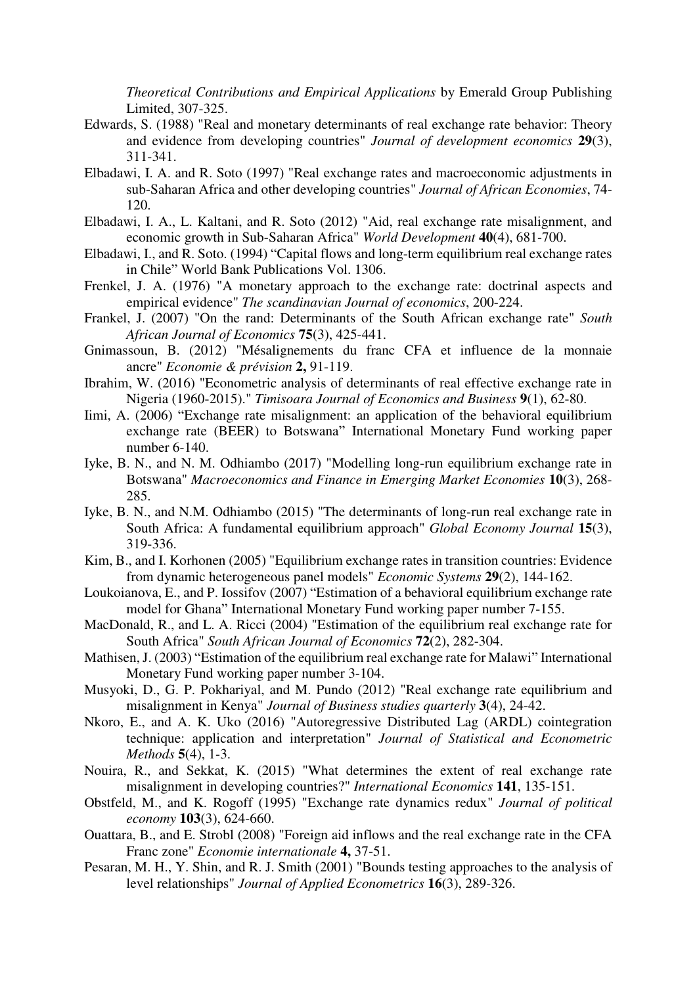*Theoretical Contributions and Empirical Applications* by Emerald Group Publishing Limited, 307-325.

- Edwards, S. (1988) "Real and monetary determinants of real exchange rate behavior: Theory and evidence from developing countries" *Journal of development economics* **29**(3), 311-341.
- Elbadawi, I. A. and R. Soto (1997) "Real exchange rates and macroeconomic adjustments in sub-Saharan Africa and other developing countries" *Journal of African Economies*, 74- 120.
- Elbadawi, I. A., L. Kaltani, and R. Soto (2012) "Aid, real exchange rate misalignment, and economic growth in Sub-Saharan Africa" *World Development* **40**(4), 681-700.
- Elbadawi, I., and R. Soto. (1994) "Capital flows and long-term equilibrium real exchange rates in Chile" World Bank Publications Vol. 1306.
- Frenkel, J. A. (1976) "A monetary approach to the exchange rate: doctrinal aspects and empirical evidence" *The scandinavian Journal of economics*, 200-224.
- Frankel, J. (2007) "On the rand: Determinants of the South African exchange rate" *South African Journal of Economics* **75**(3), 425-441.
- Gnimassoun, B. (2012) "Mésalignements du franc CFA et influence de la monnaie ancre" *Economie & prévision* **2,** 91-119.
- Ibrahim, W. (2016) "Econometric analysis of determinants of real effective exchange rate in Nigeria (1960-2015)." *Timisoara Journal of Economics and Business* **9**(1), 62-80.
- Iimi, A. (2006) "Exchange rate misalignment: an application of the behavioral equilibrium exchange rate (BEER) to Botswana" International Monetary Fund working paper number 6-140.
- Iyke, B. N., and N. M. Odhiambo (2017) "Modelling long-run equilibrium exchange rate in Botswana" *Macroeconomics and Finance in Emerging Market Economies* **10**(3), 268- 285.
- Iyke, B. N., and N.M. Odhiambo (2015) "The determinants of long-run real exchange rate in South Africa: A fundamental equilibrium approach" *Global Economy Journal* **15**(3), 319-336.
- Kim, B., and I. Korhonen (2005) "Equilibrium exchange rates in transition countries: Evidence from dynamic heterogeneous panel models" *Economic Systems* **29**(2), 144-162.
- Loukoianova, E., and P. Iossifov (2007) "Estimation of a behavioral equilibrium exchange rate model for Ghana" International Monetary Fund working paper number 7-155.
- MacDonald, R., and L. A. Ricci (2004) "Estimation of the equilibrium real exchange rate for South Africa" *South African Journal of Economics* **72**(2), 282-304.
- Mathisen, J. (2003) "Estimation of the equilibrium real exchange rate for Malawi" International Monetary Fund working paper number 3-104.
- Musyoki, D., G. P. Pokhariyal, and M. Pundo (2012) "Real exchange rate equilibrium and misalignment in Kenya" *Journal of Business studies quarterly* **3**(4), 24-42.
- Nkoro, E., and A. K. Uko (2016) "Autoregressive Distributed Lag (ARDL) cointegration technique: application and interpretation" *Journal of Statistical and Econometric Methods* **5**(4), 1-3.
- Nouira, R., and Sekkat, K. (2015) "What determines the extent of real exchange rate misalignment in developing countries?" *International Economics* **141**, 135-151.
- Obstfeld, M., and K. Rogoff (1995) "Exchange rate dynamics redux" *Journal of political economy* **103**(3), 624-660.
- Ouattara, B., and E. Strobl (2008) "Foreign aid inflows and the real exchange rate in the CFA Franc zone" *Economie internationale* **4,** 37-51.
- Pesaran, M. H., Y. Shin, and R. J. Smith (2001) "Bounds testing approaches to the analysis of level relationships" *Journal of Applied Econometrics* **16**(3), 289-326.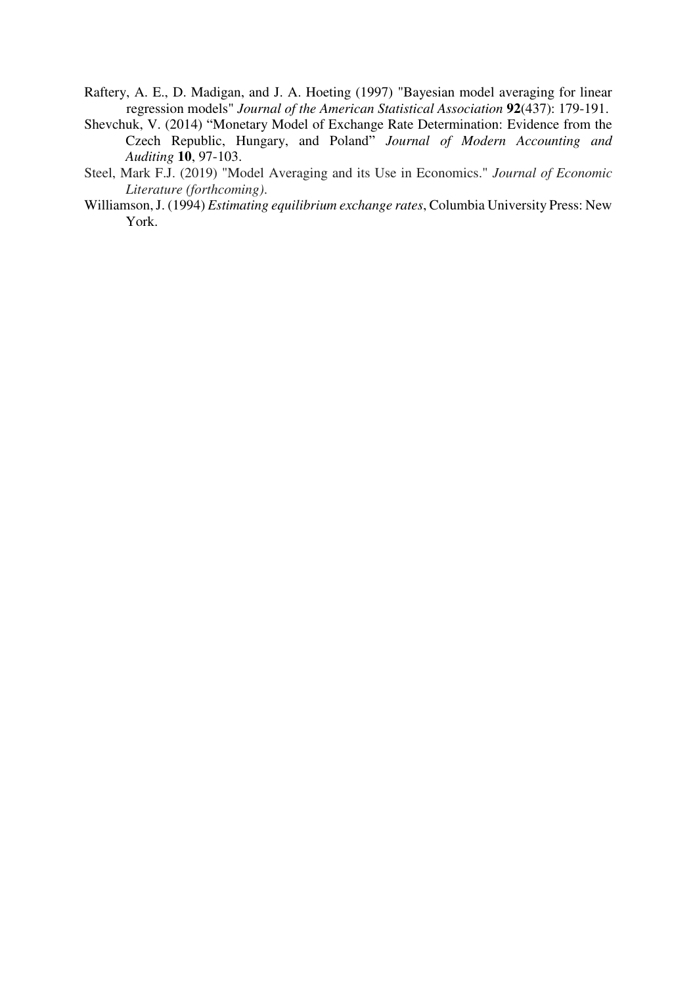- Raftery, A. E., D. Madigan, and J. A. Hoeting (1997) "Bayesian model averaging for linear regression models" *Journal of the American Statistical Association* **92**(437): 179-191.
- Shevchuk, V. (2014) "Monetary Model of Exchange Rate Determination: Evidence from the Czech Republic, Hungary, and Poland" *Journal of Modern Accounting and Auditing* **10**, 97-103.
- Steel, Mark F.J. (2019) "Model Averaging and its Use in Economics." *Journal of Economic Literature (forthcoming)*.
- Williamson, J. (1994) *Estimating equilibrium exchange rates*, Columbia University Press: New York.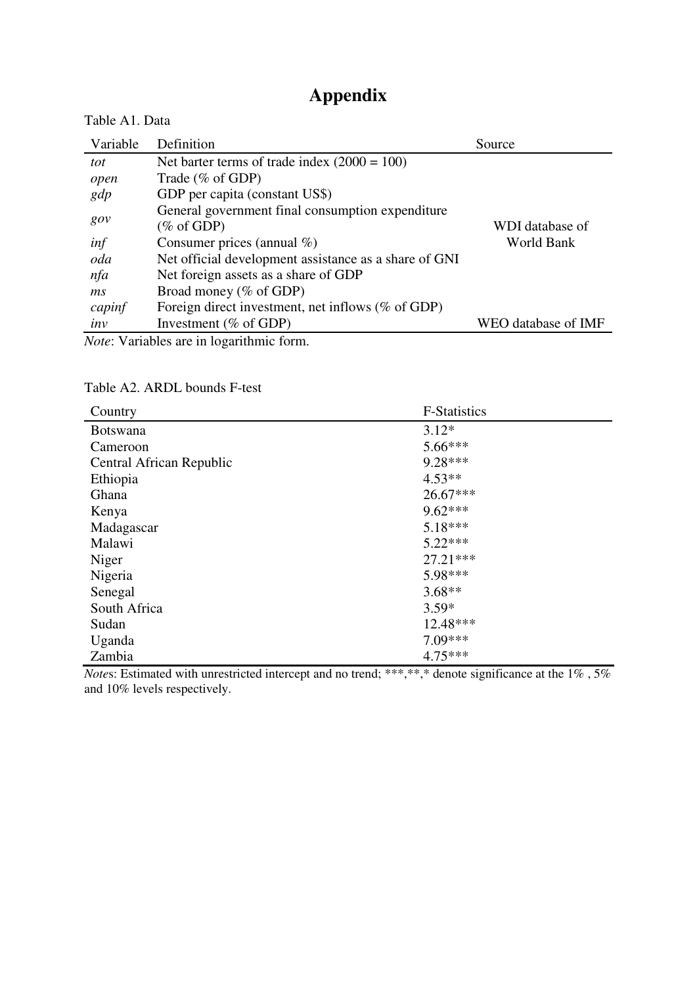# **Appendix**

| Table A1. Data |                                                       |                     |
|----------------|-------------------------------------------------------|---------------------|
| Variable       | Definition                                            | Source              |
| tot            | Net barter terms of trade index $(2000 = 100)$        |                     |
| open           | Trade (% of GDP)                                      |                     |
| gdp            | GDP per capita (constant US\$)                        |                     |
|                | General government final consumption expenditure      |                     |
| gov            | (% of GDP)                                            | WDI database of     |
| inf            | Consumer prices (annual $\%$ )                        | World Bank          |
| oda            | Net official development assistance as a share of GNI |                     |
| nfa            | Net foreign assets as a share of GDP                  |                     |
| ms             | Broad money (% of GDP)                                |                     |
| capinf         | Foreign direct investment, net inflows $(\%$ of GDP)  |                     |
| inv            | Investment ( $%$ of GDP)                              | WEO database of IMF |
|                | <i>Note:</i> Variables are in logarithmic form        |                     |

*Note*: Variables are in logarithmic form.

## Table A2. ARDL bounds F-test

| Country                  | <b>F-Statistics</b>         |  |
|--------------------------|-----------------------------|--|
| <b>Botswana</b>          | $3.12*$                     |  |
| Cameroon                 | $5.66***$                   |  |
| Central African Republic | $9.28***$                   |  |
| Ethiopia                 | $4.53**$                    |  |
| Ghana                    | $26.67***$                  |  |
| Kenya                    | $9.62***$                   |  |
| Madagascar               | $5.18***$                   |  |
| Malawi                   | $5.22***$                   |  |
| Niger                    | $27.21***$                  |  |
| Nigeria                  | 5.98***                     |  |
| Senegal                  | $3.68**$                    |  |
| South Africa             | $3.59*$                     |  |
| Sudan                    | 12.48***                    |  |
| Uganda                   | $7.09***$                   |  |
| Zambia<br>.              | $4.75***$<br>$\cdot$ $\sim$ |  |

*Notes*: Estimated with unrestricted intercept and no trend; \*\*\*,\*\*,\* denote significance at the 1%, 5% and 10% levels respectively.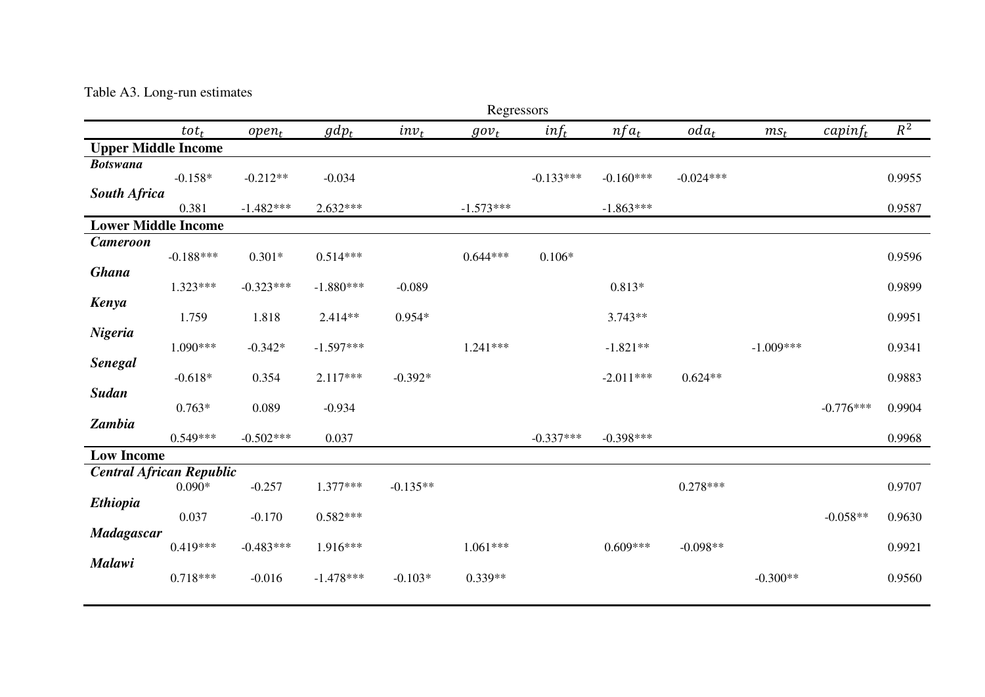## Table A3. Long-run estimates

| Regressors                      |                            |             |             |            |             |             |                        |             |             |             |        |
|---------------------------------|----------------------------|-------------|-------------|------------|-------------|-------------|------------------------|-------------|-------------|-------------|--------|
|                                 | $tot_t$                    | $open_t$    | $gdp_t$     | $inv_t$    | $gov_t$     | $inf_t$     | $nf_{\underline{a_t}}$ | $oda_t$     | $ms_t$      | $capinf_t$  | $R^2$  |
| <b>Upper Middle Income</b>      |                            |             |             |            |             |             |                        |             |             |             |        |
| <b>Botswana</b>                 | $-0.158*$                  | $-0.212**$  | $-0.034$    |            |             | $-0.133***$ | $-0.160***$            | $-0.024***$ |             |             | 0.9955 |
| <b>South Africa</b>             | 0.381                      | $-1.482***$ | $2.632***$  |            | $-1.573***$ |             | $-1.863***$            |             |             |             | 0.9587 |
|                                 | <b>Lower Middle Income</b> |             |             |            |             |             |                        |             |             |             |        |
| <b>Cameroon</b>                 | $-0.188***$                | $0.301*$    | $0.514***$  |            | $0.644***$  | $0.106*$    |                        |             |             |             | 0.9596 |
| <b>Ghana</b>                    | $1.323***$                 | $-0.323***$ | $-1.880***$ | $-0.089$   |             |             | $0.813*$               |             |             |             | 0.9899 |
| <b>Kenya</b>                    | 1.759                      | 1.818       | 2.414**     | $0.954*$   |             |             | $3.743**$              |             |             |             | 0.9951 |
| Nigeria                         | 1.090***                   | $-0.342*$   | $-1.597***$ |            | $1.241***$  |             | $-1.821**$             |             | $-1.009***$ |             | 0.9341 |
| <b>Senegal</b>                  | $-0.618*$                  | 0.354       | $2.117***$  | $-0.392*$  |             |             | $-2.011***$            | $0.624**$   |             |             | 0.9883 |
| <b>Sudan</b>                    | $0.763*$                   | 0.089       | $-0.934$    |            |             |             |                        |             |             | $-0.776***$ | 0.9904 |
| Zambia                          | $0.549***$                 | $-0.502***$ | 0.037       |            |             | $-0.337***$ | $-0.398***$            |             |             |             | 0.9968 |
| <b>Low Income</b>               |                            |             |             |            |             |             |                        |             |             |             |        |
| <b>Central African Republic</b> | $0.090*$                   | $-0.257$    | 1.377***    | $-0.135**$ |             |             |                        | $0.278***$  |             |             | 0.9707 |
| <b>Ethiopia</b>                 | 0.037                      | $-0.170$    | $0.582***$  |            |             |             |                        |             |             | $-0.058**$  | 0.9630 |
| <b>Madagascar</b>               | $0.419***$                 | $-0.483***$ | 1.916***    |            | $1.061***$  |             | $0.609***$             | $-0.098**$  |             |             | 0.9921 |
| Malawi                          | $0.718***$                 | $-0.016$    | $-1.478***$ | $-0.103*$  | $0.339**$   |             |                        |             | $-0.300**$  |             | 0.9560 |
|                                 |                            |             |             |            |             |             |                        |             |             |             |        |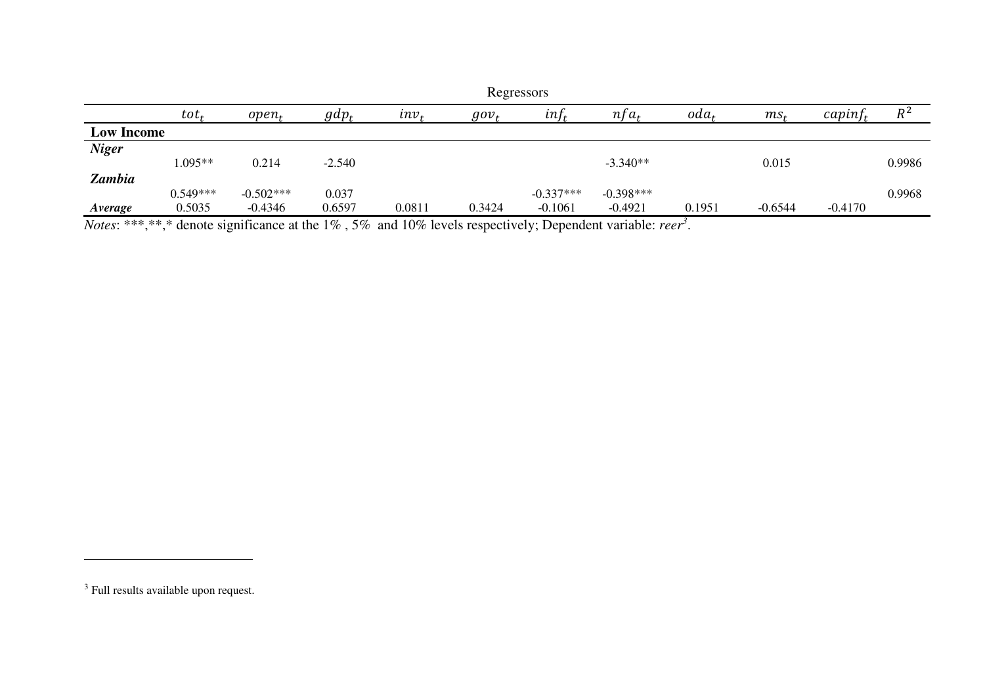|                   | Regressors |             |          |         |         |             |             |                  |           |            |        |  |
|-------------------|------------|-------------|----------|---------|---------|-------------|-------------|------------------|-----------|------------|--------|--|
|                   | $tot_t$    | $open_t$    | $gdp_t$  | $inv_t$ | $gov_t$ | $inf_t$     | $nfa_t$     | oda <sub>t</sub> | $ms_t$    | $capinf_t$ | $R^2$  |  |
| <b>Low Income</b> |            |             |          |         |         |             |             |                  |           |            |        |  |
| <b>Niger</b>      |            |             |          |         |         |             |             |                  |           |            |        |  |
|                   | $1.095**$  | 0.214       | $-2.540$ |         |         |             | $-3.340**$  |                  | 0.015     |            | 0.9986 |  |
| <b>Zambia</b>     |            |             |          |         |         |             |             |                  |           |            |        |  |
|                   | $0.549***$ | $-0.502***$ | 0.037    |         |         | $-0.337***$ | $-0.398***$ |                  |           |            | 0.9968 |  |
| Average           | 0.5035     | $-0.4346$   | 0.6597   | 0.0811  | 0.3424  | $-0.1061$   | $-0.4921$   | 0.1951           | $-0.6544$ | $-0.4170$  |        |  |

*Notes*: \*\*\*,\*\*,\* denote significance at the 1% , 5% and 10% levels respectively; Dependent variable: *reer<sup>3</sup>* .

<u>.</u>

 $^3$  Full results available upon request.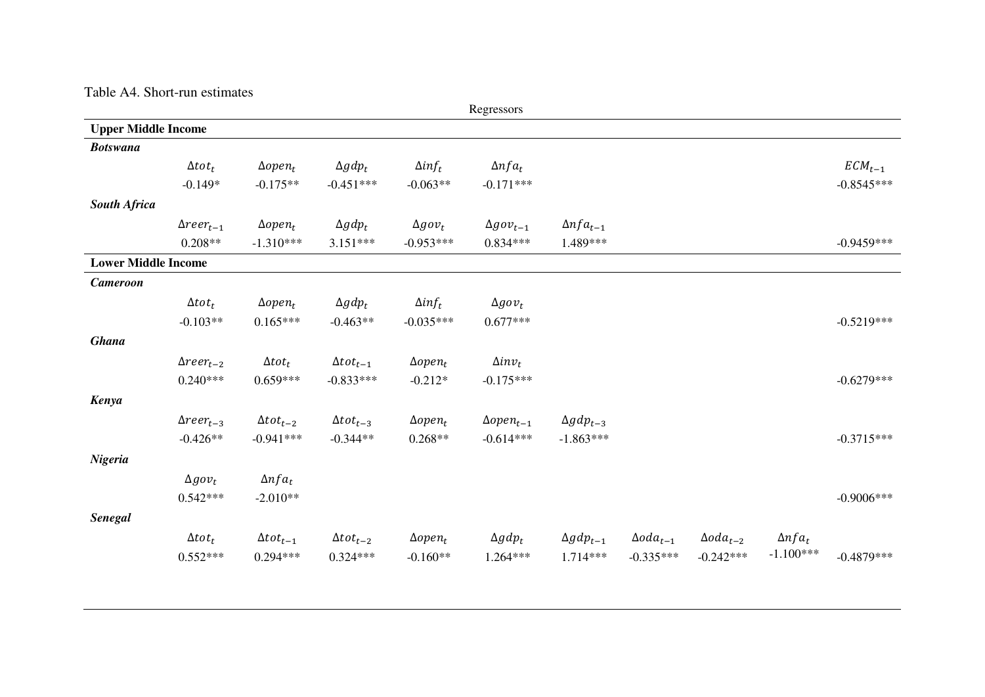#### Table A4. Short-run estimates

| Regressors                 |                     |                    |                    |                 |                     |                    |                     |                     |                |              |
|----------------------------|---------------------|--------------------|--------------------|-----------------|---------------------|--------------------|---------------------|---------------------|----------------|--------------|
| <b>Upper Middle Income</b> |                     |                    |                    |                 |                     |                    |                     |                     |                |              |
| <b>Botswana</b>            |                     |                    |                    |                 |                     |                    |                     |                     |                |              |
|                            | $\Delta tot_t$      | $\Delta open_t$    | $\Delta gdp_t$     | $\Delta inf_t$  | $\Delta nfa_t$      |                    |                     |                     |                | $ECM_{t-1}$  |
|                            | $-0.149*$           | $-0.175**$         | $-0.451***$        | $-0.063**$      | $-0.171***$         |                    |                     |                     |                | $-0.8545***$ |
| <b>South Africa</b>        |                     |                    |                    |                 |                     |                    |                     |                     |                |              |
|                            | $\Delta reer_{t-1}$ | $\Delta open_t$    | $\Delta gdp_t$     | $\Delta gov_t$  | $\Delta gov_{t-1}$  | $\Delta nfa_{t-1}$ |                     |                     |                |              |
|                            | $0.208**$           | $-1.310***$        | $3.151***$         | $-0.953***$     | $0.834***$          | 1.489***           |                     |                     |                | $-0.9459***$ |
| <b>Lower Middle Income</b> |                     |                    |                    |                 |                     |                    |                     |                     |                |              |
| <b>Cameroon</b>            |                     |                    |                    |                 |                     |                    |                     |                     |                |              |
|                            | $\Delta tot_t$      | $\Delta open_t$    | $\Delta gdp_t$     | $\Delta inf_t$  | $\Delta gov_t$      |                    |                     |                     |                |              |
|                            | $-0.103**$          | $0.165***$         | $-0.463**$         | $-0.035***$     | $0.677***$          |                    |                     |                     |                | $-0.5219***$ |
| <b>Ghana</b>               |                     |                    |                    |                 |                     |                    |                     |                     |                |              |
|                            | $\Delta reer_{t-2}$ | $\Delta tot_t$     | $\Delta tot_{t-1}$ | $\Delta open_t$ | $\Delta inv_t$      |                    |                     |                     |                |              |
|                            | $0.240***$          | $0.659***$         | $-0.833***$        | $-0.212*$       | $-0.175***$         |                    |                     |                     |                | $-0.6279***$ |
| Kenya                      |                     |                    |                    |                 |                     |                    |                     |                     |                |              |
|                            | $\Delta reer_{t-3}$ | $\Delta tot_{t-2}$ | $\Delta tot_{t-3}$ | $\Delta open_t$ | $\Delta open_{t-1}$ | $\Delta gdp_{t-3}$ |                     |                     |                |              |
|                            | $-0.426**$          | $-0.941***$        | $-0.344**$         | $0.268**$       | $-0.614***$         | $-1.863***$        |                     |                     |                | $-0.3715***$ |
| Nigeria                    |                     |                    |                    |                 |                     |                    |                     |                     |                |              |
|                            | $\Delta g \,ov_t$   | $\Delta nfa_t$     |                    |                 |                     |                    |                     |                     |                |              |
|                            | $0.542***$          | $-2.010**$         |                    |                 |                     |                    |                     |                     |                | $-0.9006***$ |
| <b>Senegal</b>             |                     |                    |                    |                 |                     |                    |                     |                     |                |              |
|                            | $\Delta tot_t$      | $\Delta tot_{t-1}$ | $\Delta tot_{t-2}$ | $\Delta open_t$ | $\Delta gdp_t$      | $\Delta gdp_{t-1}$ | $\Delta o da_{t-1}$ | $\Delta o da_{t-2}$ | $\Delta nfa_t$ |              |
|                            | $0.552***$          | $0.294***$         | $0.324***$         | $-0.160**$      | 1.264***            | $1.714***$         | $-0.335***$         | $-0.242***$         | $-1.100***$    | $-0.4879***$ |
|                            |                     |                    |                    |                 |                     |                    |                     |                     |                |              |